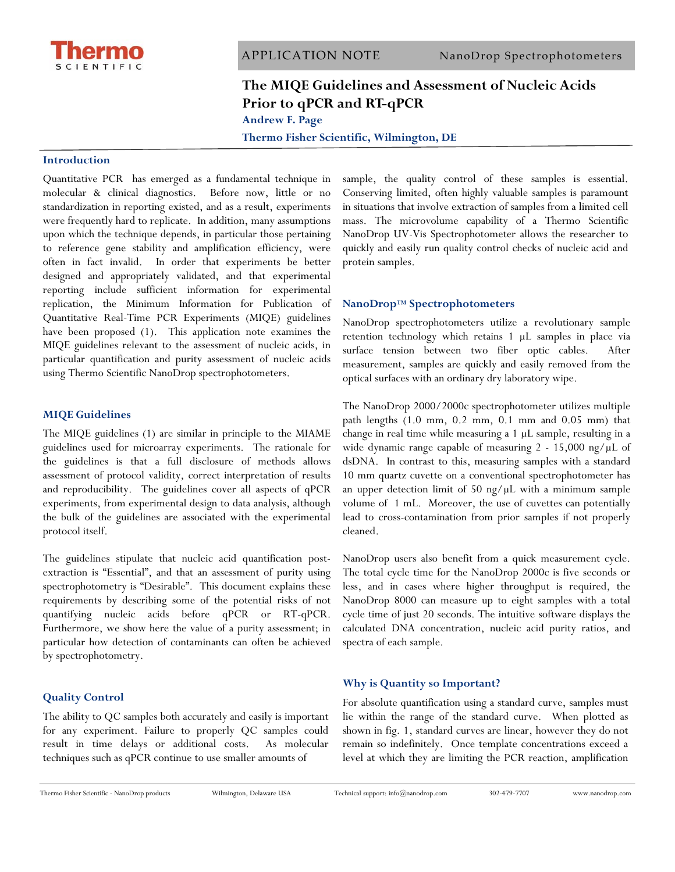

# **The MIQE Guidelines and Assessment of Nucleic Acids Prior to qPCR and RT-qPCR**

**Andrew F. Page** 

**Thermo Fisher Scientific, Wilmington, DE** 

#### **Introduction**

Quantitative PCR has emerged as a fundamental technique in molecular & clinical diagnostics. Before now, little or no standardization in reporting existed, and as a result, experiments were frequently hard to replicate. In addition, many assumptions upon which the technique depends, in particular those pertaining to reference gene stability and amplification efficiency, were often in fact invalid. In order that experiments be better designed and appropriately validated, and that experimental reporting include sufficient information for experimental replication, the Minimum Information for Publication of Quantitative Real-Time PCR Experiments (MIQE) guidelines have been proposed (1). This application note examines the MIQE guidelines relevant to the assessment of nucleic acids, in particular quantification and purity assessment of nucleic acids using Thermo Scientific NanoDrop spectrophotometers.

### **MIQE Guidelines**

The MIQE guidelines (1) are similar in principle to the MIAME guidelines used for microarray experiments. The rationale for the guidelines is that a full disclosure of methods allows assessment of protocol validity, correct interpretation of results and reproducibility. The guidelines cover all aspects of qPCR experiments, from experimental design to data analysis, although the bulk of the guidelines are associated with the experimental protocol itself.

The guidelines stipulate that nucleic acid quantification postextraction is "Essential", and that an assessment of purity using spectrophotometry is "Desirable". This document explains these requirements by describing some of the potential risks of not quantifying nucleic acids before qPCR or RT-qPCR. Furthermore, we show here the value of a purity assessment; in particular how detection of contaminants can often be achieved by spectrophotometry.

# **Quality Control**

The ability to QC samples both accurately and easily is important for any experiment. Failure to properly QC samples could result in time delays or additional costs. As molecular techniques such as qPCR continue to use smaller amounts of

sample, the quality control of these samples is essential. Conserving limited, often highly valuable samples is paramount in situations that involve extraction of samples from a limited cell mass. The microvolume capability of a Thermo Scientific NanoDrop UV-Vis Spectrophotometer allows the researcher to quickly and easily run quality control checks of nucleic acid and protein samples.

# **NanoDrop™ Spectrophotometers**

NanoDrop spectrophotometers utilize a revolutionary sample retention technology which retains 1 μL samples in place via surface tension between two fiber optic cables. After measurement, samples are quickly and easily removed from the optical surfaces with an ordinary dry laboratory wipe.

The NanoDrop 2000/2000c spectrophotometer utilizes multiple path lengths (1.0 mm, 0.2 mm, 0.1 mm and 0.05 mm) that change in real time while measuring a 1 μL sample, resulting in a wide dynamic range capable of measuring 2 - 15,000 ng/μL of dsDNA. In contrast to this, measuring samples with a standard 10 mm quartz cuvette on a conventional spectrophotometer has an upper detection limit of 50 ng/μL with a minimum sample volume of 1 mL. Moreover, the use of cuvettes can potentially lead to cross-contamination from prior samples if not properly cleaned.

NanoDrop users also benefit from a quick measurement cycle. The total cycle time for the NanoDrop 2000c is five seconds or less, and in cases where higher throughput is required, the NanoDrop 8000 can measure up to eight samples with a total cycle time of just 20 seconds. The intuitive software displays the calculated DNA concentration, nucleic acid purity ratios, and spectra of each sample.

# **Why is Quantity so Important?**

For absolute quantification using a standard curve, samples must lie within the range of the standard curve. When plotted as shown in fig. 1, standard curves are linear, however they do not remain so indefinitely. Once template concentrations exceed a level at which they are limiting the PCR reaction, amplification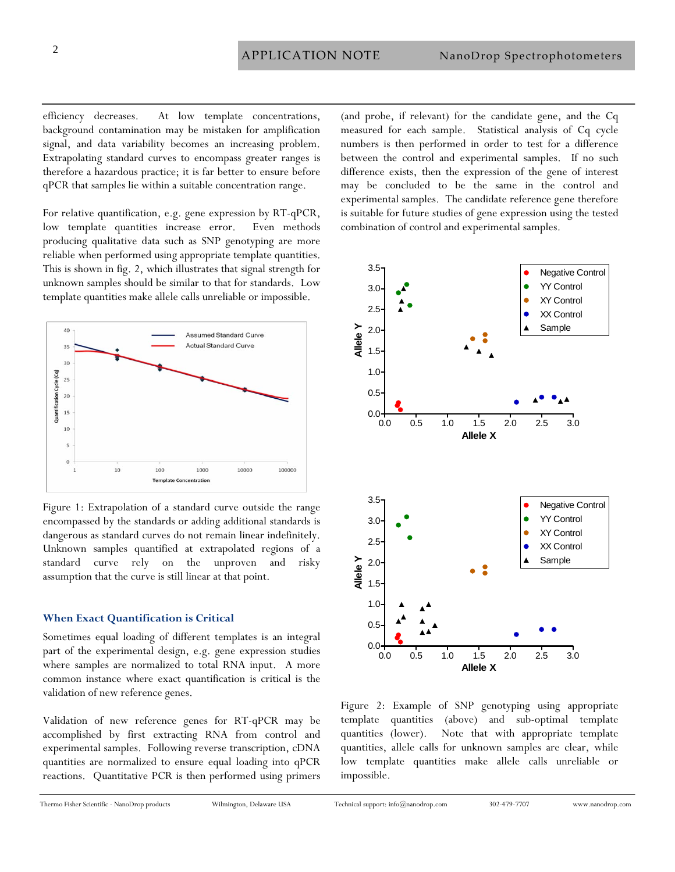efficiency decreases. At low template concentrations, background contamination may be mistaken for amplification signal, and data variability becomes an increasing problem. Extrapolating standard curves to encompass greater ranges is therefore a hazardous practice; it is far better to ensure before qPCR that samples lie within a suitable concentration range.

For relative quantification, e.g. gene expression by RT-qPCR, low template quantities increase error. Even methods producing qualitative data such as SNP genotyping are more reliable when performed using appropriate template quantities. This is shown in fig. 2, which illustrates that signal strength for unknown samples should be similar to that for standards. Low template quantities make allele calls unreliable or impossible.



Figure 1: Extrapolation of a standard curve outside the range encompassed by the standards or adding additional standards is dangerous as standard curves do not remain linear indefinitely. Unknown samples quantified at extrapolated regions of a standard curve rely on the unproven and risky assumption that the curve is still linear at that point.

#### **When Exact Quantification is Critical**

Sometimes equal loading of different templates is an integral part of the experimental design, e.g. gene expression studies where samples are normalized to total RNA input. A more common instance where exact quantification is critical is the validation of new reference genes.

Validation of new reference genes for RT-qPCR may be accomplished by first extracting RNA from control and experimental samples. Following reverse transcription, cDNA quantities are normalized to ensure equal loading into qPCR reactions. Quantitative PCR is then performed using primers

(and probe, if relevant) for the candidate gene, and the Cq measured for each sample. Statistical analysis of Cq cycle numbers is then performed in order to test for a difference between the control and experimental samples. If no such difference exists, then the expression of the gene of interest may be concluded to be the same in the control and experimental samples. The candidate reference gene therefore is suitable for future studies of gene expression using the tested combination of control and experimental samples.



Figure 2: Example of SNP genotyping using appropriate template quantities (above) and sub-optimal template quantities (lower). Note that with appropriate template quantities, allele calls for unknown samples are clear, while low template quantities make allele calls unreliable or impossible.